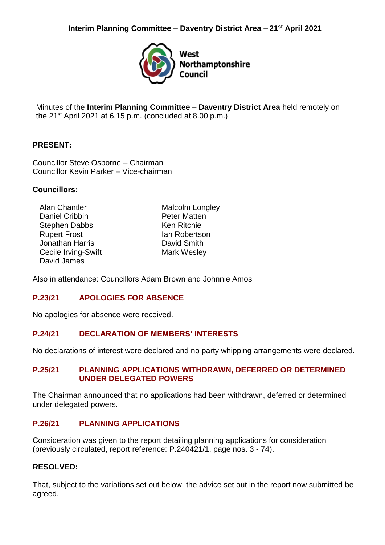

Minutes of the **Interim Planning Committee – Daventry District Area** held remotely on the  $21^{st}$  April 2021 at 6.15 p.m. (concluded at 8.00 p.m.)

## **PRESENT:**

Councillor Steve Osborne – Chairman Councillor Kevin Parker – Vice-chairman

### **Councillors:**

Alan Chantler Daniel Cribbin Stephen Dabbs Rupert Frost Jonathan Harris Cecile Irving-Swift David James

Malcolm Longley Peter Matten Ken Ritchie Ian Robertson David Smith Mark Wesley

Also in attendance: Councillors Adam Brown and Johnnie Amos

### **P.23/21 APOLOGIES FOR ABSENCE**

No apologies for absence were received.

### **P.24/21 DECLARATION OF MEMBERS' INTERESTS**

No declarations of interest were declared and no party whipping arrangements were declared.

## **P.25/21 PLANNING APPLICATIONS WITHDRAWN, DEFERRED OR DETERMINED UNDER DELEGATED POWERS**

The Chairman announced that no applications had been withdrawn, deferred or determined under delegated powers.

# **P.26/21 PLANNING APPLICATIONS**

Consideration was given to the report detailing planning applications for consideration (previously circulated, report reference: P.240421/1, page nos. 3 - 74).

### **RESOLVED:**

That, subject to the variations set out below, the advice set out in the report now submitted be agreed.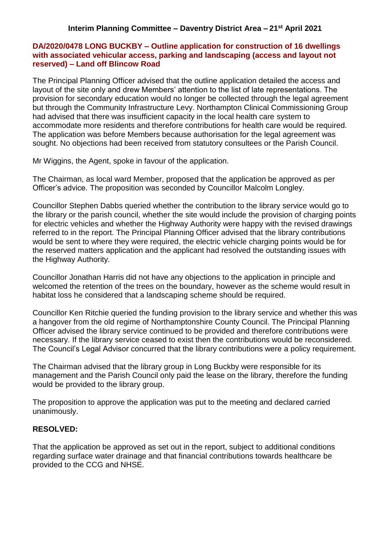### **DA/2020/0478 LONG BUCKBY – Outline application for construction of 16 dwellings with associated vehicular access, parking and landscaping (access and layout not reserved) – Land off Blincow Road**

The Principal Planning Officer advised that the outline application detailed the access and layout of the site only and drew Members' attention to the list of late representations. The provision for secondary education would no longer be collected through the legal agreement but through the Community Infrastructure Levy. Northampton Clinical Commissioning Group had advised that there was insufficient capacity in the local health care system to accommodate more residents and therefore contributions for health care would be required. The application was before Members because authorisation for the legal agreement was sought. No objections had been received from statutory consultees or the Parish Council.

Mr Wiggins, the Agent, spoke in favour of the application.

The Chairman, as local ward Member, proposed that the application be approved as per Officer's advice. The proposition was seconded by Councillor Malcolm Longley.

Councillor Stephen Dabbs queried whether the contribution to the library service would go to the library or the parish council, whether the site would include the provision of charging points for electric vehicles and whether the Highway Authority were happy with the revised drawings referred to in the report. The Principal Planning Officer advised that the library contributions would be sent to where they were required, the electric vehicle charging points would be for the reserved matters application and the applicant had resolved the outstanding issues with the Highway Authority.

Councillor Jonathan Harris did not have any objections to the application in principle and welcomed the retention of the trees on the boundary, however as the scheme would result in habitat loss he considered that a landscaping scheme should be required.

Councillor Ken Ritchie queried the funding provision to the library service and whether this was a hangover from the old regime of Northamptonshire County Council. The Principal Planning Officer advised the library service continued to be provided and therefore contributions were necessary. If the library service ceased to exist then the contributions would be reconsidered. The Council's Legal Advisor concurred that the library contributions were a policy requirement.

The Chairman advised that the library group in Long Buckby were responsible for its management and the Parish Council only paid the lease on the library, therefore the funding would be provided to the library group.

The proposition to approve the application was put to the meeting and declared carried unanimously.

# **RESOLVED:**

That the application be approved as set out in the report, subject to additional conditions regarding surface water drainage and that financial contributions towards healthcare be provided to the CCG and NHSE.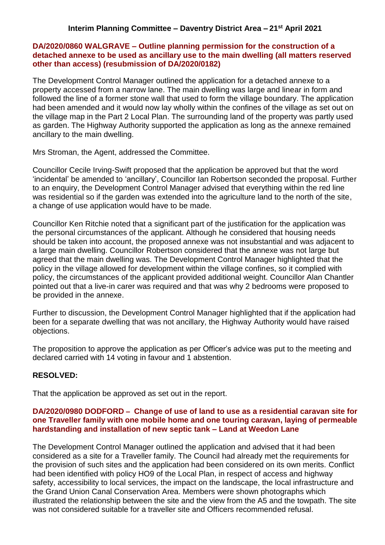### **DA/2020/0860 WALGRAVE – Outline planning permission for the construction of a detached annexe to be used as ancillary use to the main dwelling (all matters reserved other than access) (resubmission of DA/2020/0182)**

The Development Control Manager outlined the application for a detached annexe to a property accessed from a narrow lane. The main dwelling was large and linear in form and followed the line of a former stone wall that used to form the village boundary. The application had been amended and it would now lay wholly within the confines of the village as set out on the village map in the Part 2 Local Plan. The surrounding land of the property was partly used as garden. The Highway Authority supported the application as long as the annexe remained ancillary to the main dwelling.

Mrs Stroman, the Agent, addressed the Committee.

Councillor Cecile Irving-Swift proposed that the application be approved but that the word 'incidental' be amended to 'ancillary', Councillor Ian Robertson seconded the proposal. Further to an enquiry, the Development Control Manager advised that everything within the red line was residential so if the garden was extended into the agriculture land to the north of the site, a change of use application would have to be made.

Councillor Ken Ritchie noted that a significant part of the justification for the application was the personal circumstances of the applicant. Although he considered that housing needs should be taken into account, the proposed annexe was not insubstantial and was adjacent to a large main dwelling. Councillor Robertson considered that the annexe was not large but agreed that the main dwelling was. The Development Control Manager highlighted that the policy in the village allowed for development within the village confines, so it complied with policy, the circumstances of the applicant provided additional weight. Councillor Alan Chantler pointed out that a live-in carer was required and that was why 2 bedrooms were proposed to be provided in the annexe.

Further to discussion, the Development Control Manager highlighted that if the application had been for a separate dwelling that was not ancillary, the Highway Authority would have raised objections.

The proposition to approve the application as per Officer's advice was put to the meeting and declared carried with 14 voting in favour and 1 abstention.

# **RESOLVED:**

That the application be approved as set out in the report.

## **DA/2020/0980 DODFORD – Change of use of land to use as a residential caravan site for one Traveller family with one mobile home and one touring caravan, laying of permeable hardstanding and installation of new septic tank – Land at Weedon Lane**

The Development Control Manager outlined the application and advised that it had been considered as a site for a Traveller family. The Council had already met the requirements for the provision of such sites and the application had been considered on its own merits. Conflict had been identified with policy HO9 of the Local Plan, in respect of access and highway safety, accessibility to local services, the impact on the landscape, the local infrastructure and the Grand Union Canal Conservation Area. Members were shown photographs which illustrated the relationship between the site and the view from the A5 and the towpath. The site was not considered suitable for a traveller site and Officers recommended refusal.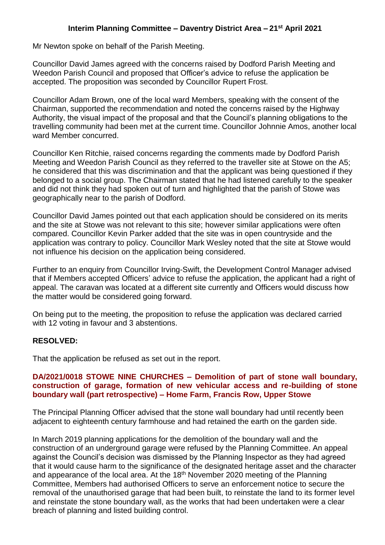Mr Newton spoke on behalf of the Parish Meeting.

Councillor David James agreed with the concerns raised by Dodford Parish Meeting and Weedon Parish Council and proposed that Officer's advice to refuse the application be accepted. The proposition was seconded by Councillor Rupert Frost.

Councillor Adam Brown, one of the local ward Members, speaking with the consent of the Chairman, supported the recommendation and noted the concerns raised by the Highway Authority, the visual impact of the proposal and that the Council's planning obligations to the travelling community had been met at the current time. Councillor Johnnie Amos, another local ward Member concurred.

Councillor Ken Ritchie, raised concerns regarding the comments made by Dodford Parish Meeting and Weedon Parish Council as they referred to the traveller site at Stowe on the A5; he considered that this was discrimination and that the applicant was being questioned if they belonged to a social group. The Chairman stated that he had listened carefully to the speaker and did not think they had spoken out of turn and highlighted that the parish of Stowe was geographically near to the parish of Dodford.

Councillor David James pointed out that each application should be considered on its merits and the site at Stowe was not relevant to this site; however similar applications were often compared. Councillor Kevin Parker added that the site was in open countryside and the application was contrary to policy. Councillor Mark Wesley noted that the site at Stowe would not influence his decision on the application being considered.

Further to an enquiry from Councillor Irving-Swift, the Development Control Manager advised that if Members accepted Officers' advice to refuse the application, the applicant had a right of appeal. The caravan was located at a different site currently and Officers would discuss how the matter would be considered going forward.

On being put to the meeting, the proposition to refuse the application was declared carried with 12 voting in favour and 3 abstentions.

### **RESOLVED:**

That the application be refused as set out in the report.

#### **DA/2021/0018 STOWE NINE CHURCHES – Demolition of part of stone wall boundary, construction of garage, formation of new vehicular access and re-building of stone boundary wall (part retrospective) – Home Farm, Francis Row, Upper Stowe**

The Principal Planning Officer advised that the stone wall boundary had until recently been adjacent to eighteenth century farmhouse and had retained the earth on the garden side.

In March 2019 planning applications for the demolition of the boundary wall and the construction of an underground garage were refused by the Planning Committee. An appeal against the Council's decision was dismissed by the Planning Inspector as they had agreed that it would cause harm to the significance of the designated heritage asset and the character and appearance of the local area. At the 18<sup>th</sup> November 2020 meeting of the Planning Committee, Members had authorised Officers to serve an enforcement notice to secure the removal of the unauthorised garage that had been built, to reinstate the land to its former level and reinstate the stone boundary wall, as the works that had been undertaken were a clear breach of planning and listed building control.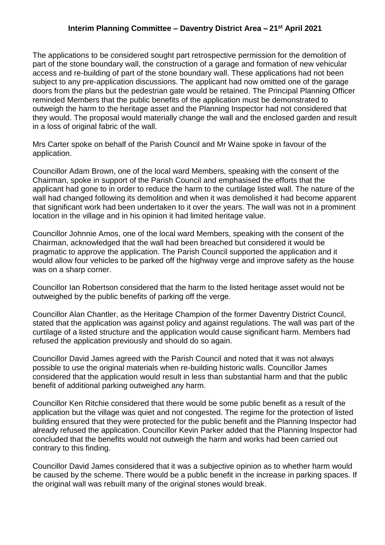The applications to be considered sought part retrospective permission for the demolition of part of the stone boundary wall, the construction of a garage and formation of new vehicular access and re-building of part of the stone boundary wall. These applications had not been subject to any pre-application discussions. The applicant had now omitted one of the garage doors from the plans but the pedestrian gate would be retained. The Principal Planning Officer reminded Members that the public benefits of the application must be demonstrated to outweigh the harm to the heritage asset and the Planning Inspector had not considered that they would. The proposal would materially change the wall and the enclosed garden and result in a loss of original fabric of the wall.

Mrs Carter spoke on behalf of the Parish Council and Mr Waine spoke in favour of the application.

Councillor Adam Brown, one of the local ward Members, speaking with the consent of the Chairman, spoke in support of the Parish Council and emphasised the efforts that the applicant had gone to in order to reduce the harm to the curtilage listed wall. The nature of the wall had changed following its demolition and when it was demolished it had become apparent that significant work had been undertaken to it over the years. The wall was not in a prominent location in the village and in his opinion it had limited heritage value.

Councillor Johnnie Amos, one of the local ward Members, speaking with the consent of the Chairman, acknowledged that the wall had been breached but considered it would be pragmatic to approve the application. The Parish Council supported the application and it would allow four vehicles to be parked off the highway verge and improve safety as the house was on a sharp corner.

Councillor Ian Robertson considered that the harm to the listed heritage asset would not be outweighed by the public benefits of parking off the verge.

Councillor Alan Chantler, as the Heritage Champion of the former Daventry District Council, stated that the application was against policy and against regulations. The wall was part of the curtilage of a listed structure and the application would cause significant harm. Members had refused the application previously and should do so again.

Councillor David James agreed with the Parish Council and noted that it was not always possible to use the original materials when re-building historic walls. Councillor James considered that the application would result in less than substantial harm and that the public benefit of additional parking outweighed any harm.

Councillor Ken Ritchie considered that there would be some public benefit as a result of the application but the village was quiet and not congested. The regime for the protection of listed building ensured that they were protected for the public benefit and the Planning Inspector had already refused the application. Councillor Kevin Parker added that the Planning Inspector had concluded that the benefits would not outweigh the harm and works had been carried out contrary to this finding.

Councillor David James considered that it was a subjective opinion as to whether harm would be caused by the scheme. There would be a public benefit in the increase in parking spaces. If the original wall was rebuilt many of the original stones would break.